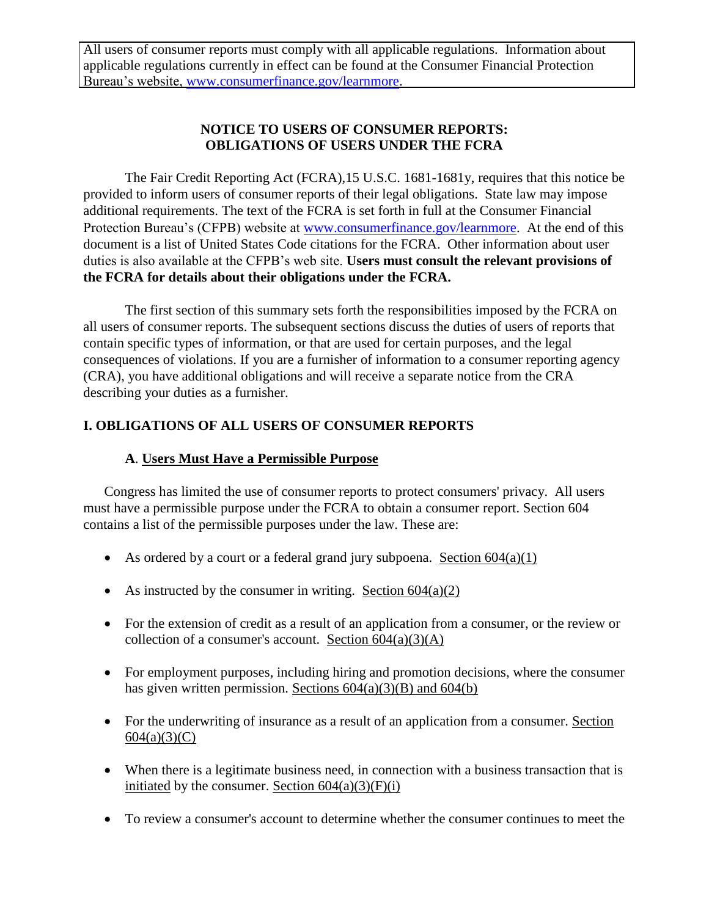All users of consumer reports must comply with all applicable regulations. Information about applicable regulations currently in effect can be found at the Consumer Financial Protection Bureau's website, www.consumerfinance.gov/learnmore.

## **NOTICE TO USERS OF CONSUMER REPORTS: OBLIGATIONS OF USERS UNDER THE FCRA**

The Fair Credit Reporting Act (FCRA),15 U.S.C. 1681-1681y, requires that this notice be provided to inform users of consumer reports of their legal obligations. State law may impose additional requirements. The text of the FCRA is set forth in full at the Consumer Financial Protection Bureau's (CFPB) website at [www.consumerfinance.gov/learnmore.](http://www.consumerfinance.gov/learnmore) At the end of this document is a list of United States Code citations for the FCRA. Other information about user duties is also available at the CFPB's web site. **Users must consult the relevant provisions of the FCRA for details about their obligations under the FCRA.** 

The first section of this summary sets forth the responsibilities imposed by the FCRA on all users of consumer reports. The subsequent sections discuss the duties of users of reports that contain specific types of information, or that are used for certain purposes, and the legal consequences of violations. If you are a furnisher of information to a consumer reporting agency (CRA), you have additional obligations and will receive a separate notice from the CRA describing your duties as a furnisher.

# **I. OBLIGATIONS OF ALL USERS OF CONSUMER REPORTS**

# **A**. **Users Must Have a Permissible Purpose**

Congress has limited the use of consumer reports to protect consumers' privacy. All users must have a permissible purpose under the FCRA to obtain a consumer report. Section 604 contains a list of the permissible purposes under the law. These are:

- As ordered by a court or a federal grand jury subpoena. Section  $604(a)(1)$
- As instructed by the consumer in writing. Section  $604(a)(2)$
- For the extension of credit as a result of an application from a consumer, or the review or collection of a consumer's account. Section  $604(a)(3)(A)$
- For employment purposes, including hiring and promotion decisions, where the consumer has given written permission. Sections  $604(a)(3)(B)$  and  $604(b)$
- For the underwriting of insurance as a result of an application from a consumer. Section  $604(a)(3)(C)$
- When there is a legitimate business need, in connection with a business transaction that is initiated by the consumer. Section  $604(a)(3)(F)(i)$
- To review a consumer's account to determine whether the consumer continues to meet the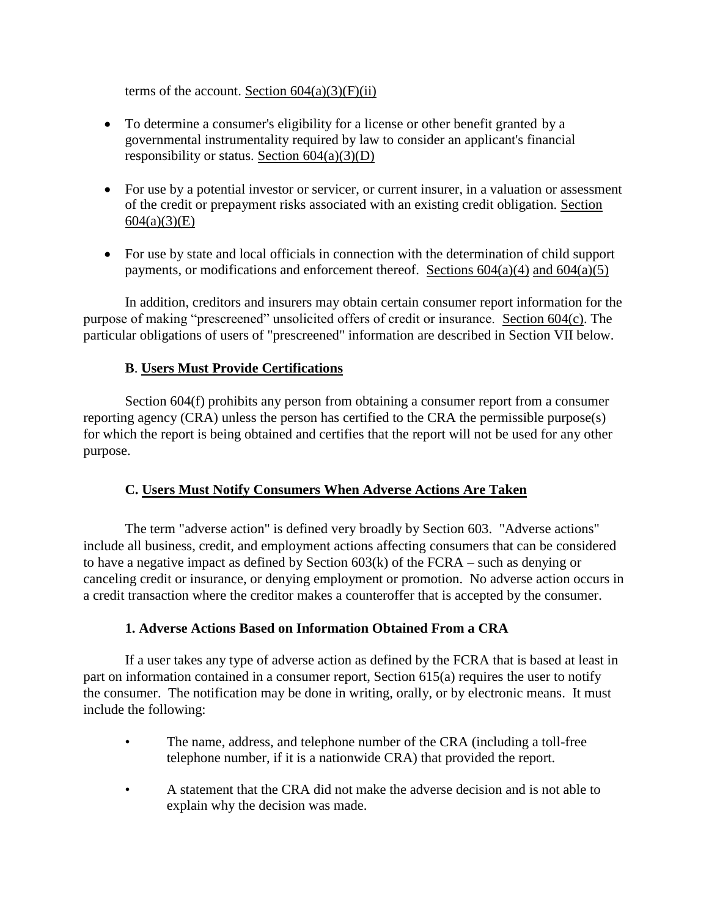terms of the account. Section  $604(a)(3)(F)(ii)$ 

- To determine a consumer's eligibility for a license or other benefit granted by a governmental instrumentality required by law to consider an applicant's financial responsibility or status. Section  $604(a)(3)(D)$
- For use by a potential investor or servicer, or current insurer, in a valuation or assessment of the credit or prepayment risks associated with an existing credit obligation. Section  $604(a)(3)(E)$
- For use by state and local officials in connection with the determination of child support payments, or modifications and enforcement thereof. Sections  $604(a)(4)$  and  $604(a)(5)$

In addition, creditors and insurers may obtain certain consumer report information for the purpose of making "prescreened" unsolicited offers of credit or insurance. Section 604(c). The particular obligations of users of "prescreened" information are described in Section VII below.

## **B**. **Users Must Provide Certifications**

Section 604(f) prohibits any person from obtaining a consumer report from a consumer reporting agency (CRA) unless the person has certified to the CRA the permissible purpose(s) for which the report is being obtained and certifies that the report will not be used for any other purpose.

# **C. Users Must Notify Consumers When Adverse Actions Are Taken**

The term "adverse action" is defined very broadly by Section 603. "Adverse actions" include all business, credit, and employment actions affecting consumers that can be considered to have a negative impact as defined by Section 603(k) of the FCRA – such as denying or canceling credit or insurance, or denying employment or promotion. No adverse action occurs in a credit transaction where the creditor makes a counteroffer that is accepted by the consumer.

#### **1. Adverse Actions Based on Information Obtained From a CRA**

If a user takes any type of adverse action as defined by the FCRA that is based at least in part on information contained in a consumer report, Section 615(a) requires the user to notify the consumer. The notification may be done in writing, orally, or by electronic means. It must include the following:

- The name, address, and telephone number of the CRA (including a toll-free telephone number, if it is a nationwide CRA) that provided the report.
- A statement that the CRA did not make the adverse decision and is not able to explain why the decision was made.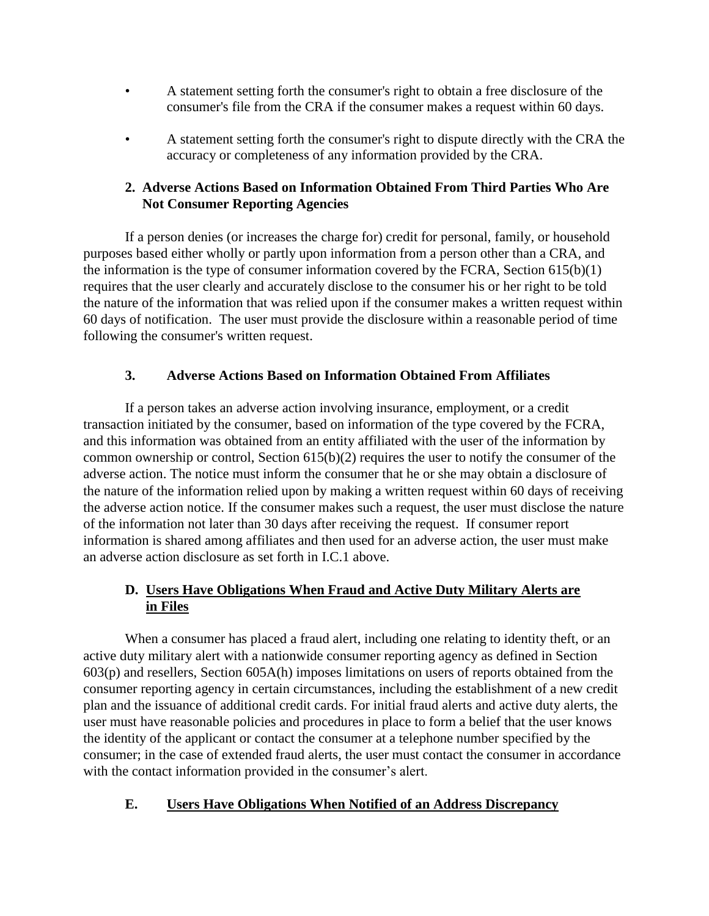- A statement setting forth the consumer's right to obtain a free disclosure of the consumer's file from the CRA if the consumer makes a request within 60 days.
- A statement setting forth the consumer's right to dispute directly with the CRA the accuracy or completeness of any information provided by the CRA.

## **2. Adverse Actions Based on Information Obtained From Third Parties Who Are Not Consumer Reporting Agencies**

If a person denies (or increases the charge for) credit for personal, family, or household purposes based either wholly or partly upon information from a person other than a CRA, and the information is the type of consumer information covered by the FCRA, Section  $615(b)(1)$ requires that the user clearly and accurately disclose to the consumer his or her right to be told the nature of the information that was relied upon if the consumer makes a written request within 60 days of notification. The user must provide the disclosure within a reasonable period of time following the consumer's written request.

# **3. Adverse Actions Based on Information Obtained From Affiliates**

If a person takes an adverse action involving insurance, employment, or a credit transaction initiated by the consumer, based on information of the type covered by the FCRA, and this information was obtained from an entity affiliated with the user of the information by common ownership or control, Section 615(b)(2) requires the user to notify the consumer of the adverse action. The notice must inform the consumer that he or she may obtain a disclosure of the nature of the information relied upon by making a written request within 60 days of receiving the adverse action notice. If the consumer makes such a request, the user must disclose the nature of the information not later than 30 days after receiving the request. If consumer report information is shared among affiliates and then used for an adverse action, the user must make an adverse action disclosure as set forth in I.C.1 above.

# **D. Users Have Obligations When Fraud and Active Duty Military Alerts are in Files**

When a consumer has placed a fraud alert, including one relating to identity theft, or an active duty military alert with a nationwide consumer reporting agency as defined in Section 603(p) and resellers, Section 605A(h) imposes limitations on users of reports obtained from the consumer reporting agency in certain circumstances, including the establishment of a new credit plan and the issuance of additional credit cards. For initial fraud alerts and active duty alerts, the user must have reasonable policies and procedures in place to form a belief that the user knows the identity of the applicant or contact the consumer at a telephone number specified by the consumer; in the case of extended fraud alerts, the user must contact the consumer in accordance with the contact information provided in the consumer's alert.

# **E. Users Have Obligations When Notified of an Address Discrepancy**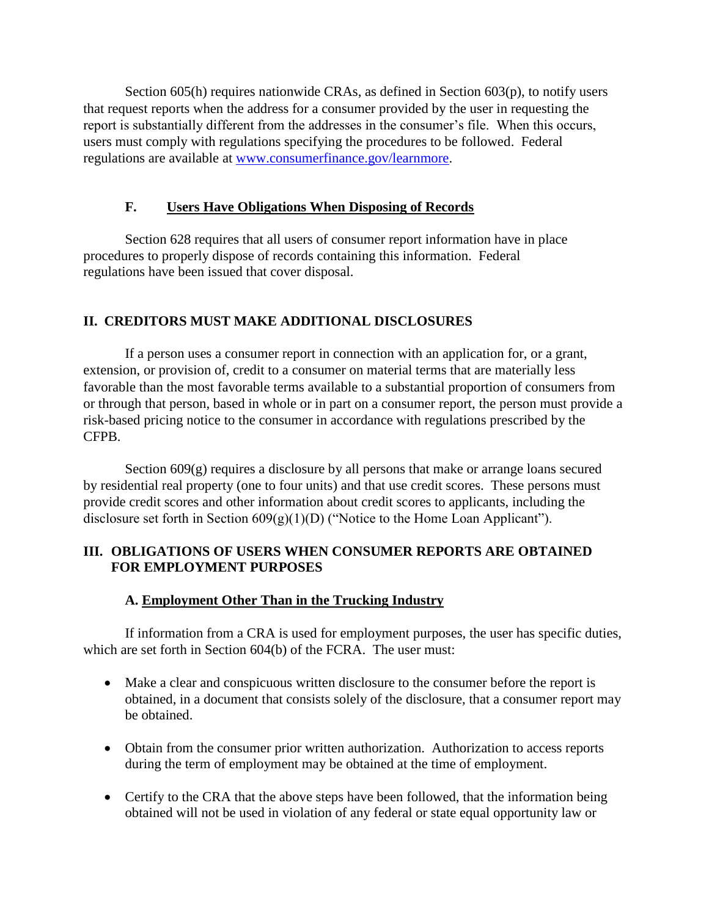Section 605(h) requires nationwide CRAs, as defined in Section 603(p), to notify users that request reports when the address for a consumer provided by the user in requesting the report is substantially different from the addresses in the consumer's file. When this occurs, users must comply with regulations specifying the procedures to be followed. Federal regulations are available at [www.consumerfinance.gov/learnmore.](http://www.consumerfinance.gov/learnmore)

#### **F. Users Have Obligations When Disposing of Records**

Section 628 requires that all users of consumer report information have in place procedures to properly dispose of records containing this information. Federal regulations have been issued that cover disposal.

# **II. CREDITORS MUST MAKE ADDITIONAL DISCLOSURES**

If a person uses a consumer report in connection with an application for, or a grant, extension, or provision of, credit to a consumer on material terms that are materially less favorable than the most favorable terms available to a substantial proportion of consumers from or through that person, based in whole or in part on a consumer report, the person must provide a risk-based pricing notice to the consumer in accordance with regulations prescribed by the CFPB.

Section 609(g) requires a disclosure by all persons that make or arrange loans secured by residential real property (one to four units) and that use credit scores. These persons must provide credit scores and other information about credit scores to applicants, including the disclosure set forth in Section  $609(g)(1)(D)$  ("Notice to the Home Loan Applicant").

## **III. OBLIGATIONS OF USERS WHEN CONSUMER REPORTS ARE OBTAINED FOR EMPLOYMENT PURPOSES**

#### **A. Employment Other Than in the Trucking Industry**

If information from a CRA is used for employment purposes, the user has specific duties, which are set forth in Section 604(b) of the FCRA. The user must:

- Make a clear and conspicuous written disclosure to the consumer before the report is obtained, in a document that consists solely of the disclosure, that a consumer report may be obtained.
- Obtain from the consumer prior written authorization. Authorization to access reports during the term of employment may be obtained at the time of employment.
- Certify to the CRA that the above steps have been followed, that the information being obtained will not be used in violation of any federal or state equal opportunity law or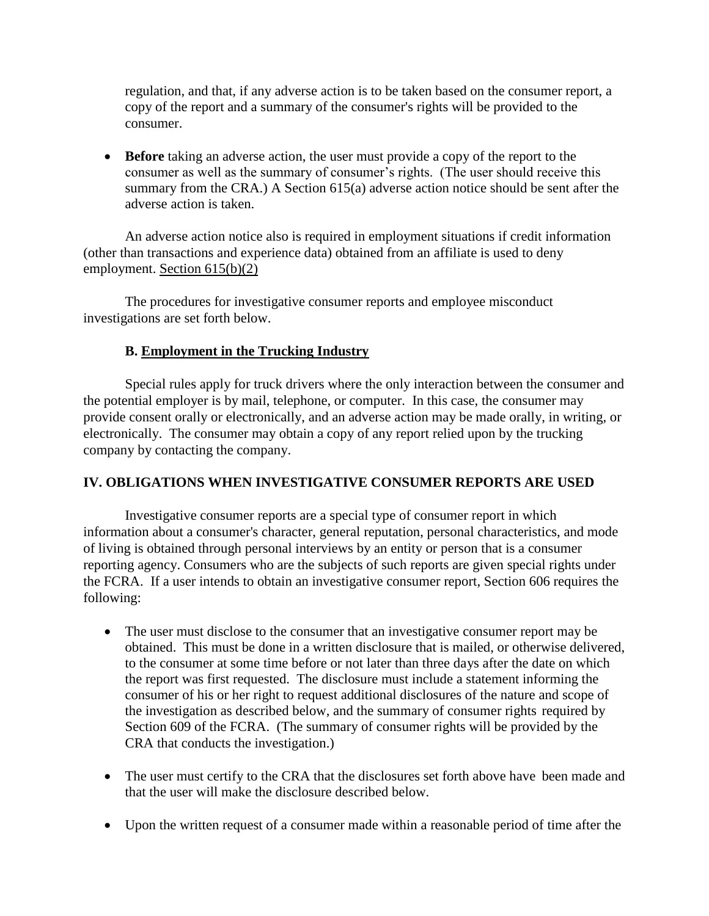regulation, and that, if any adverse action is to be taken based on the consumer report, a copy of the report and a summary of the consumer's rights will be provided to the consumer.

 **Before** taking an adverse action, the user must provide a copy of the report to the consumer as well as the summary of consumer's rights. (The user should receive this summary from the CRA.) A Section 615(a) adverse action notice should be sent after the adverse action is taken.

An adverse action notice also is required in employment situations if credit information (other than transactions and experience data) obtained from an affiliate is used to deny employment. Section 615(b)(2)

The procedures for investigative consumer reports and employee misconduct investigations are set forth below.

#### **B. Employment in the Trucking Industry**

Special rules apply for truck drivers where the only interaction between the consumer and the potential employer is by mail, telephone, or computer. In this case, the consumer may provide consent orally or electronically, and an adverse action may be made orally, in writing, or electronically. The consumer may obtain a copy of any report relied upon by the trucking company by contacting the company.

#### **IV. OBLIGATIONS WHEN INVESTIGATIVE CONSUMER REPORTS ARE USED**

Investigative consumer reports are a special type of consumer report in which information about a consumer's character, general reputation, personal characteristics, and mode of living is obtained through personal interviews by an entity or person that is a consumer reporting agency. Consumers who are the subjects of such reports are given special rights under the FCRA. If a user intends to obtain an investigative consumer report, Section 606 requires the following:

- The user must disclose to the consumer that an investigative consumer report may be obtained. This must be done in a written disclosure that is mailed, or otherwise delivered, to the consumer at some time before or not later than three days after the date on which the report was first requested. The disclosure must include a statement informing the consumer of his or her right to request additional disclosures of the nature and scope of the investigation as described below, and the summary of consumer rights required by Section 609 of the FCRA. (The summary of consumer rights will be provided by the CRA that conducts the investigation.)
- The user must certify to the CRA that the disclosures set forth above have been made and that the user will make the disclosure described below.
- Upon the written request of a consumer made within a reasonable period of time after the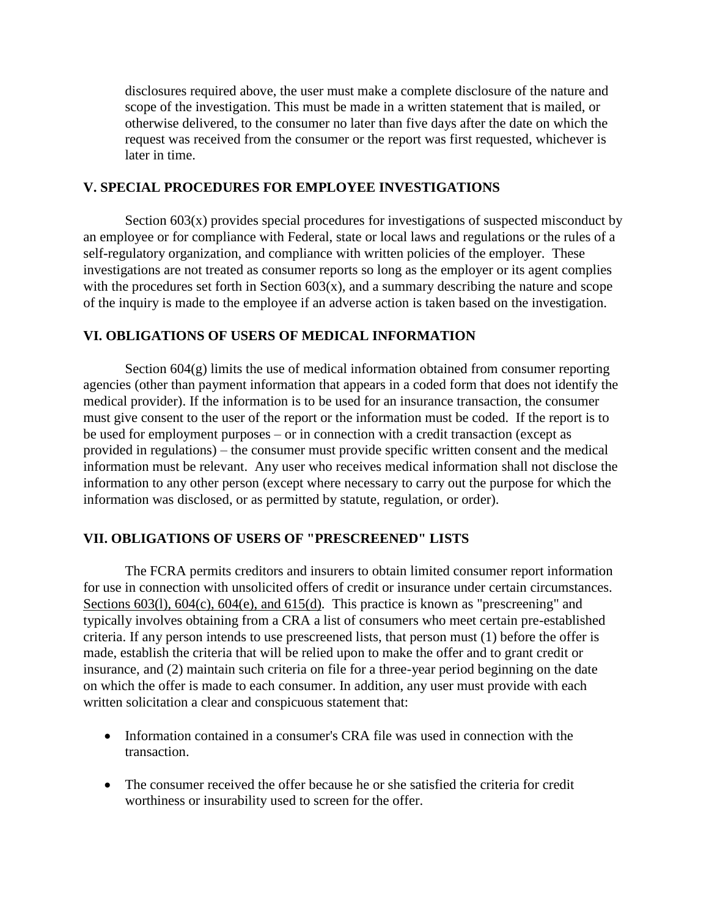disclosures required above, the user must make a complete disclosure of the nature and scope of the investigation. This must be made in a written statement that is mailed, or otherwise delivered, to the consumer no later than five days after the date on which the request was received from the consumer or the report was first requested, whichever is later in time.

#### **V. SPECIAL PROCEDURES FOR EMPLOYEE INVESTIGATIONS**

Section  $603(x)$  provides special procedures for investigations of suspected misconduct by an employee or for compliance with Federal, state or local laws and regulations or the rules of a self-regulatory organization, and compliance with written policies of the employer. These investigations are not treated as consumer reports so long as the employer or its agent complies with the procedures set forth in Section  $603(x)$ , and a summary describing the nature and scope of the inquiry is made to the employee if an adverse action is taken based on the investigation.

#### **VI. OBLIGATIONS OF USERS OF MEDICAL INFORMATION**

Section 604(g) limits the use of medical information obtained from consumer reporting agencies (other than payment information that appears in a coded form that does not identify the medical provider). If the information is to be used for an insurance transaction, the consumer must give consent to the user of the report or the information must be coded. If the report is to be used for employment purposes – or in connection with a credit transaction (except as provided in regulations) – the consumer must provide specific written consent and the medical information must be relevant. Any user who receives medical information shall not disclose the information to any other person (except where necessary to carry out the purpose for which the information was disclosed, or as permitted by statute, regulation, or order).

#### **VII. OBLIGATIONS OF USERS OF "PRESCREENED" LISTS**

The FCRA permits creditors and insurers to obtain limited consumer report information for use in connection with unsolicited offers of credit or insurance under certain circumstances. Sections 603(1), 604(c), 604(e), and 615(d). This practice is known as "prescreening" and typically involves obtaining from a CRA a list of consumers who meet certain pre-established criteria. If any person intends to use prescreened lists, that person must (1) before the offer is made, establish the criteria that will be relied upon to make the offer and to grant credit or insurance, and (2) maintain such criteria on file for a three-year period beginning on the date on which the offer is made to each consumer. In addition, any user must provide with each written solicitation a clear and conspicuous statement that:

- Information contained in a consumer's CRA file was used in connection with the transaction.
- The consumer received the offer because he or she satisfied the criteria for credit worthiness or insurability used to screen for the offer.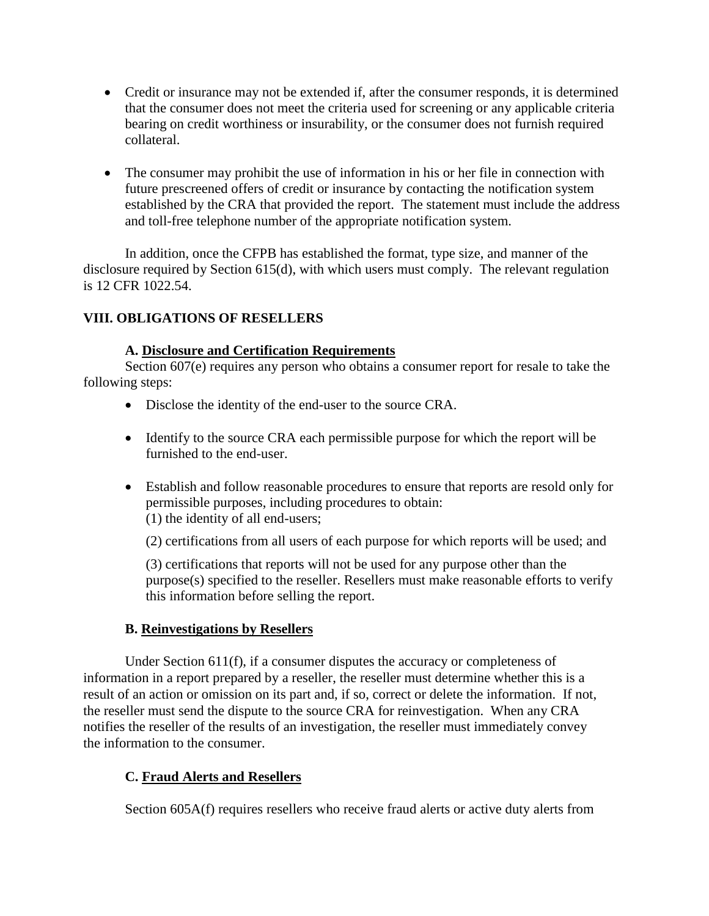- Credit or insurance may not be extended if, after the consumer responds, it is determined that the consumer does not meet the criteria used for screening or any applicable criteria bearing on credit worthiness or insurability, or the consumer does not furnish required collateral.
- The consumer may prohibit the use of information in his or her file in connection with future prescreened offers of credit or insurance by contacting the notification system established by the CRA that provided the report. The statement must include the address and toll-free telephone number of the appropriate notification system.

In addition, once the CFPB has established the format, type size, and manner of the disclosure required by Section 615(d), with which users must comply. The relevant regulation is 12 CFR 1022.54.

## **VIII. OBLIGATIONS OF RESELLERS**

#### **A. Disclosure and Certification Requirements**

Section 607(e) requires any person who obtains a consumer report for resale to take the following steps:

- Disclose the identity of the end-user to the source CRA.
- Identify to the source CRA each permissible purpose for which the report will be furnished to the end-user.
- Establish and follow reasonable procedures to ensure that reports are resold only for permissible purposes, including procedures to obtain: (1) the identity of all end-users;

(2) certifications from all users of each purpose for which reports will be used; and

(3) certifications that reports will not be used for any purpose other than the purpose(s) specified to the reseller. Resellers must make reasonable efforts to verify this information before selling the report.

#### **B. Reinvestigations by Resellers**

Under Section 611(f), if a consumer disputes the accuracy or completeness of information in a report prepared by a reseller, the reseller must determine whether this is a result of an action or omission on its part and, if so, correct or delete the information. If not, the reseller must send the dispute to the source CRA for reinvestigation. When any CRA notifies the reseller of the results of an investigation, the reseller must immediately convey the information to the consumer.

#### **C. Fraud Alerts and Resellers**

Section 605A(f) requires resellers who receive fraud alerts or active duty alerts from